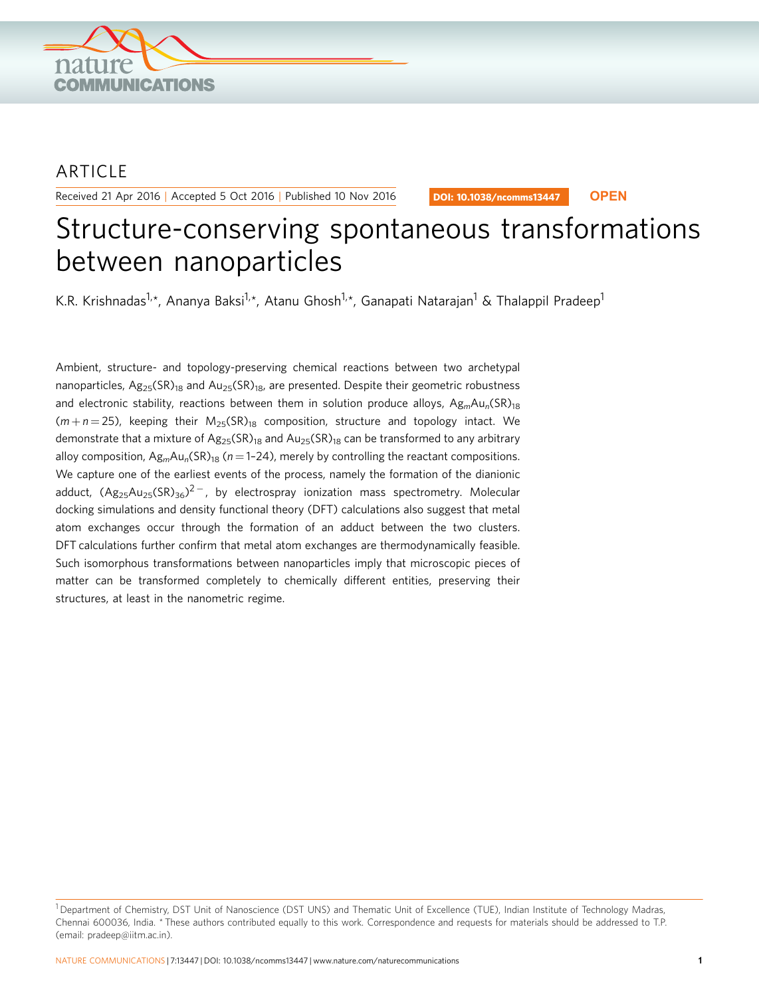

# ARTICLE

Received 21 Apr 2016 | Accepted 5 Oct 2016 | Published 10 Nov 2016

DOI: 10.1038/ncomms13447 **OPEN**

# Structure-conserving spontaneous transformations between nanoparticles

K.R. Krishnadas<sup>1,\*</sup>, Ananya Baksi<sup>1,\*</sup>, Atanu Ghosh<sup>1,\*</sup>, Ganapati Natarajan<sup>1</sup> & Thalappil Pradeep<sup>1</sup>

Ambient, structure- and topology-preserving chemical reactions between two archetypal nanoparticles,  $Ag_{25}(SR)_{18}$  and  $Au_{25}(SR)_{18}$ , are presented. Despite their geometric robustness and electronic stability, reactions between them in solution produce alloys,  $A_{\mathcal{B}_m}A_{\mathcal{U}_n}(SR)_{18}$  $(m + n = 25)$ , keeping their  $M_{25}(SR)_{18}$  composition, structure and topology intact. We demonstrate that a mixture of  $Ag_{25}(SR)_{18}$  and  $Au_{25}(SR)_{18}$  can be transformed to any arbitrary alloy composition,  $Ag_mAu_n(SR)_{18}$  (n = 1-24), merely by controlling the reactant compositions. We capture one of the earliest events of the process, namely the formation of the dianionic adduct,  $(\text{Ag}_{25}\text{Au}_{25}(\text{SR})_{36})^{2-}$ , by electrospray ionization mass spectrometry. Molecular docking simulations and density functional theory (DFT) calculations also suggest that metal atom exchanges occur through the formation of an adduct between the two clusters. DFT calculations further confirm that metal atom exchanges are thermodynamically feasible. Such isomorphous transformations between nanoparticles imply that microscopic pieces of matter can be transformed completely to chemically different entities, preserving their structures, at least in the nanometric regime.

<sup>&</sup>lt;sup>1</sup> Department of Chemistry, DST Unit of Nanoscience (DST UNS) and Thematic Unit of Excellence (TUE), Indian Institute of Technology Madras, Chennai 600036, India. \* These authors contributed equally to this work. Correspondence and requests for materials should be addressed to T.P. (email: [pradeep@iitm.ac.in\)](mailto:pradeep@iitm.ac.in).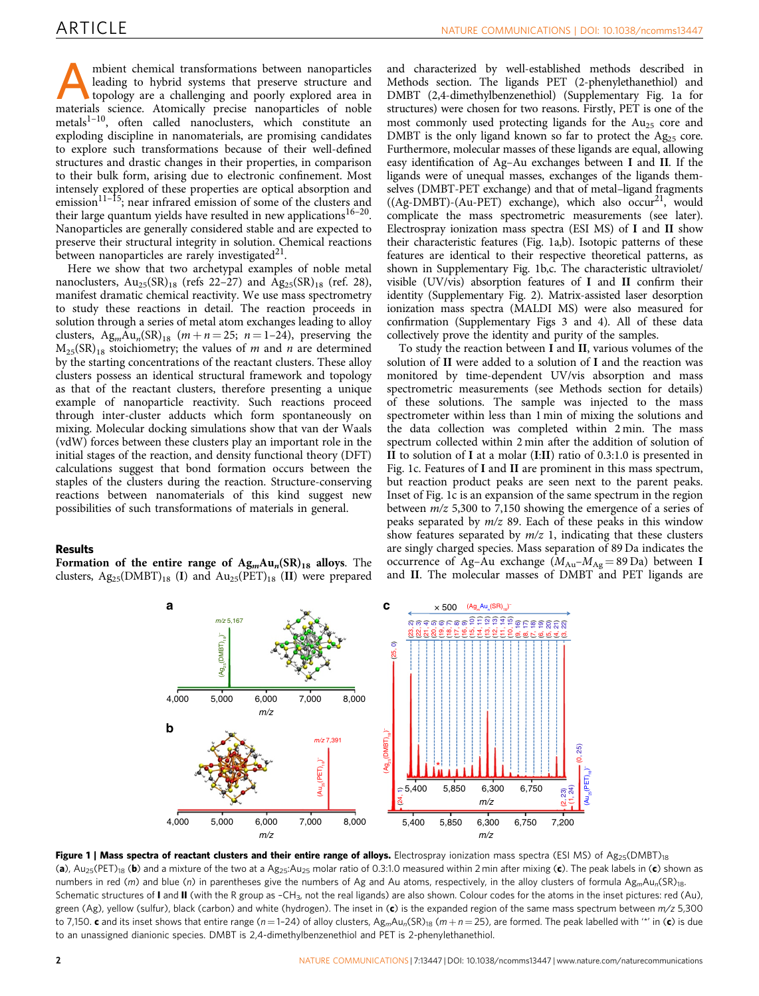mbient chemical transformations between nanoparticles<br>leading to hybrid systems that preserve structure and<br>topology are a challenging and poorly explored area in<br>materials science. Atomically precise papoparticles of pobl leading to hybrid systems that preserve structure and materials science. Atomically precise nanoparticles of noble metals<sup>1-10</sup>, often called nanoclusters, which constitute an exploding discipline in nanomaterials, are promising candidates to explore such transformations because of their well-defined structures and drastic changes in their properties, in comparison to their bulk form, arising due to electronic confinement. Most intensely explored of these properties are optical absorption and emission<sup>11–15</sup>; near infrared emission of some of the clusters and their large quantum yields have resulted in new applications<sup>16–20</sup>. Nanoparticles are generally considered stable and are expected to preserve their structural integrity in solution. Chemical reactions between nanoparticles are rarely investigated $21$ .

Here we show that two archetypal examples of noble metal nanoclusters,  $Au_{25}(SR)_{18}$  (refs 22–27) and  $Ag_{25}(SR)_{18}$  (ref. 28), manifest dramatic chemical reactivity. We use mass spectrometry to study these reactions in detail. The reaction proceeds in solution through a series of metal atom exchanges leading to alloy clusters, Ag<sub>m</sub>Au<sub>n</sub>(SR)<sub>18</sub> ( $m + n = 25$ ;  $n = 1-24$ ), preserving the  $M_{25}(SR)_{18}$  stoichiometry; the values of *m* and *n* are determined by the starting concentrations of the reactant clusters. These alloy clusters possess an identical structural framework and topology as that of the reactant clusters, therefore presenting a unique example of nanoparticle reactivity. Such reactions proceed through inter-cluster adducts which form spontaneously on mixing. Molecular docking simulations show that van der Waals (vdW) forces between these clusters play an important role in the initial stages of the reaction, and density functional theory (DFT) calculations suggest that bond formation occurs between the staples of the clusters during the reaction. Structure-conserving reactions between nanomaterials of this kind suggest new possibilities of such transformations of materials in general.

## Results

Formation of the entire range of  $\text{Ag}_m\text{Au}_n(\text{SR})_{18}$  alloys. The clusters,  $Ag_{25}(DMBT)_{18}$  (I) and  $Au_{25}(PET)_{18}$  (II) were prepared

and characterized by well-established methods described in Methods section. The ligands PET (2-phenylethanethiol) and DMBT (2,4-dimethylbenzenethiol) (Supplementary Fig. 1a for structures) were chosen for two reasons. Firstly, PET is one of the most commonly used protecting ligands for the  $Au<sub>25</sub>$  core and DMBT is the only ligand known so far to protect the  $Ag_{25}$  core. Furthermore, molecular masses of these ligands are equal, allowing easy identification of Ag–Au exchanges between I and II. If the ligands were of unequal masses, exchanges of the ligands themselves (DMBT-PET exchange) and that of metal–ligand fragments  $((Ag-DMBT)-(Au-PET)$  exchange), which also occur<sup>21</sup>, would complicate the mass spectrometric measurements (see later). Electrospray ionization mass spectra (ESI MS) of I and II show their characteristic features (Fig. 1a,b). Isotopic patterns of these features are identical to their respective theoretical patterns, as shown in Supplementary Fig. 1b,c. The characteristic ultraviolet/ visible (UV/vis) absorption features of I and II confirm their identity (Supplementary Fig. 2). Matrix-assisted laser desorption ionization mass spectra (MALDI MS) were also measured for confirmation (Supplementary Figs 3 and 4). All of these data collectively prove the identity and purity of the samples.

To study the reaction between I and II, various volumes of the solution of II were added to a solution of I and the reaction was monitored by time-dependent UV/vis absorption and mass spectrometric measurements (see Methods section for details) of these solutions. The sample was injected to the mass spectrometer within less than 1 min of mixing the solutions and the data collection was completed within 2 min. The mass spectrum collected within 2 min after the addition of solution of II to solution of I at a molar (I:II) ratio of 0.3:1.0 is presented in Fig. 1c. Features of I and II are prominent in this mass spectrum, but reaction product peaks are seen next to the parent peaks. Inset of Fig. 1c is an expansion of the same spectrum in the region between m/z 5,300 to 7,150 showing the emergence of a series of peaks separated by  $m/z$  89. Each of these peaks in this window show features separated by  $m/z$  1, indicating that these clusters are singly charged species. Mass separation of 89 Da indicates the occurrence of Ag–Au exchange  $(M_{Au} - M_{Ag} = 89 \text{ Da})$  between I and II. The molecular masses of DMBT and PET ligands are



Figure 1 | Mass spectra of reactant clusters and their entire range of alloys. Electrospray ionization mass spectra (ESI MS) of  $Ag_{25}(DMBT)_{18}$ (a),  $Au_{25}(PET)_{18}$  (b) and a mixture of the two at a  $Ag_{25}:Au_{25}$  molar ratio of 0.3:1.0 measured within 2 min after mixing (c). The peak labels in (c) shown as numbers in red (m) and blue (n) in parentheses give the numbers of Ag and Au atoms, respectively, in the alloy clusters of formula Ag<sub>m</sub>Au<sub>n</sub>(SR)<sub>18</sub>. Schematic structures of I and II (with the R group as -CH<sub>3</sub>, not the real ligands) are also shown. Colour codes for the atoms in the inset pictures: red (Au), green (Ag), yellow (sulfur), black (carbon) and white (hydrogen). The inset in (c) is the expanded region of the same mass spectrum between m/z 5,300 to 7,150. c and its inset shows that entire range (n=1-24) of alloy clusters,  $Ag_mAu_n(SR)_{18}$  (m + n = 25), are formed. The peak labelled with "\*' in (c) is due to an unassigned dianionic species. DMBT is 2,4-dimethylbenzenethiol and PET is 2-phenylethanethiol.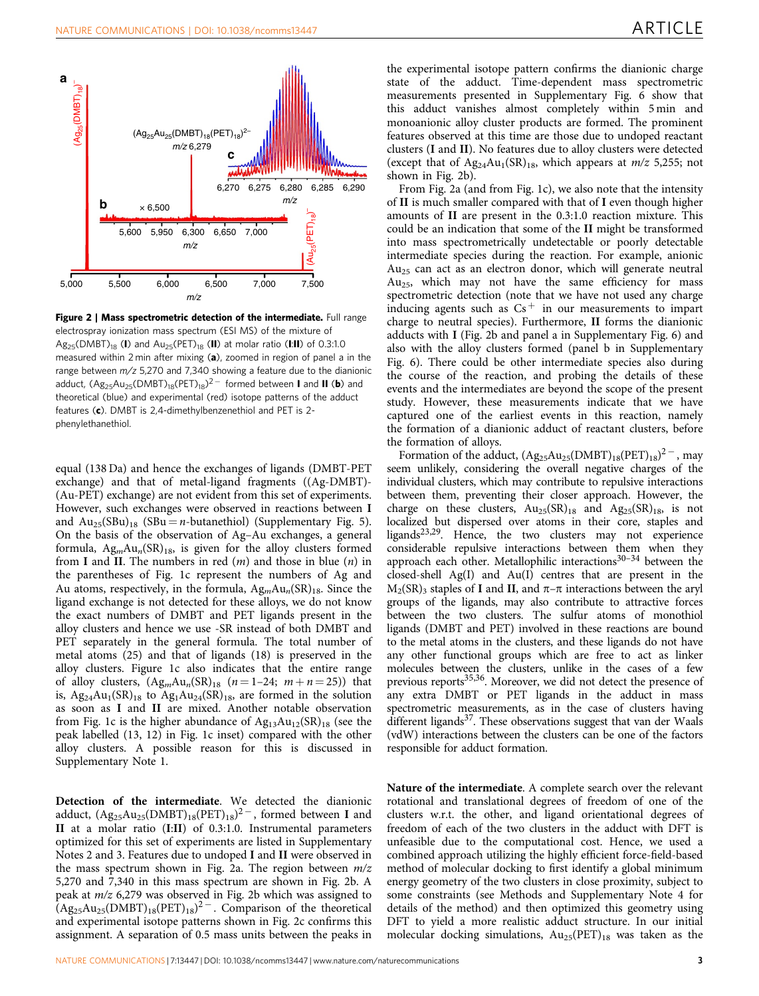

Figure 2 | Mass spectrometric detection of the intermediate. Full range electrospray ionization mass spectrum (ESI MS) of the mixture of  $Ag_{25}(DMBT)_{18}$  (I) and  $Au_{25}(PET)_{18}$  (II) at molar ratio (I:II) of 0.3:1.0 measured within 2 min after mixing (a), zoomed in region of panel a in the range between  $m/z$  5,270 and 7,340 showing a feature due to the dianionic adduct,  $(\mathsf{Ag_{25}Au_{25}(DMBT)_{18}(PET)_{18})^{2-}}$  formed between **I** and **II (b**) and theoretical (blue) and experimental (red) isotope patterns of the adduct features (c). DMBT is 2,4-dimethylbenzenethiol and PET is 2 phenylethanethiol.

equal (138 Da) and hence the exchanges of ligands (DMBT-PET exchange) and that of metal-ligand fragments ((Ag-DMBT)- (Au-PET) exchange) are not evident from this set of experiments. However, such exchanges were observed in reactions between I and  $Au_{25}(SBu)_{18}$  (SBu = *n*-butanethiol) (Supplementary Fig. 5). On the basis of the observation of Ag–Au exchanges, a general formula,  $Ag<sub>m</sub>Au<sub>n</sub>(SR)<sub>18</sub>$ , is given for the alloy clusters formed from I and II. The numbers in red  $(m)$  and those in blue  $(n)$  in the parentheses of Fig. 1c represent the numbers of Ag and Au atoms, respectively, in the formula,  $Ag_mAu_n(SR)_{18}$ . Since the ligand exchange is not detected for these alloys, we do not know the exact numbers of DMBT and PET ligands present in the alloy clusters and hence we use -SR instead of both DMBT and PET separately in the general formula. The total number of metal atoms (25) and that of ligands (18) is preserved in the alloy clusters. Figure 1c also indicates that the entire range of alloy clusters,  $(Ag_mAu_n(SR)_{18}$   $(n=1-24; m+n=25))$  that is,  $Ag_{24}Au_1(SR)_{18}$  to  $Ag_1Au_{24}(SR)_{18}$ , are formed in the solution as soon as I and II are mixed. Another notable observation from Fig. 1c is the higher abundance of  $Ag_{13}Au_{12}(SR)_{18}$  (see the peak labelled (13, 12) in Fig. 1c inset) compared with the other alloy clusters. A possible reason for this is discussed in Supplementary Note 1.

Detection of the intermediate. We detected the dianionic adduct,  $(\mathrm{Ag_{25}Au_{25}(DMBT)_{18}(PET)_{18}})^{2-}$ , formed between I and II at a molar ratio (I:II) of 0.3:1.0. Instrumental parameters optimized for this set of experiments are listed in Supplementary Notes 2 and 3. Features due to undoped I and II were observed in the mass spectrum shown in Fig. 2a. The region between  $m/z$ 5,270 and 7,340 in this mass spectrum are shown in Fig. 2b. A peak at m/z 6,279 was observed in Fig. 2b which was assigned to  $(Ag_{25}Au_{25}(DMBT)_{18}(PET)_{18})^{2}$  . Comparison of the theoretical and experimental isotope patterns shown in Fig. 2c confirms this assignment. A separation of 0.5 mass units between the peaks in

the experimental isotope pattern confirms the dianionic charge state of the adduct. Time-dependent mass spectrometric measurements presented in Supplementary Fig. 6 show that this adduct vanishes almost completely within 5 min and monoanionic alloy cluster products are formed. The prominent features observed at this time are those due to undoped reactant clusters (I and II). No features due to alloy clusters were detected (except that of  $Ag_{24}Au_1(SR)_{18}$ , which appears at  $m/z$  5,255; not shown in Fig. 2b).

From Fig. 2a (and from Fig. 1c), we also note that the intensity of II is much smaller compared with that of I even though higher amounts of II are present in the 0.3:1.0 reaction mixture. This could be an indication that some of the II might be transformed into mass spectrometrically undetectable or poorly detectable intermediate species during the reaction. For example, anionic  $Au_{25}$  can act as an electron donor, which will generate neutral  $Au<sub>25</sub>$ , which may not have the same efficiency for mass spectrometric detection (note that we have not used any charge inducing agents such as  $Cs^+$  in our measurements to impart charge to neutral species). Furthermore, II forms the dianionic adducts with I (Fig. 2b and panel a in Supplementary Fig. 6) and also with the alloy clusters formed (panel b in Supplementary Fig. 6). There could be other intermediate species also during the course of the reaction, and probing the details of these events and the intermediates are beyond the scope of the present study. However, these measurements indicate that we have captured one of the earliest events in this reaction, namely the formation of a dianionic adduct of reactant clusters, before the formation of alloys.

Formation of the adduct,  $(Ag_{25}Au_{25}(DMBT)_{18}(PET)_{18})^{2}$ , may seem unlikely, considering the overall negative charges of the individual clusters, which may contribute to repulsive interactions between them, preventing their closer approach. However, the charge on these clusters,  $Au_{25}(SR)_{18}$  and  $Ag_{25}(SR)_{18}$ , is not localized but dispersed over atoms in their core, staples and ligands<sup>23,29</sup>. Hence, the two clusters may not experience considerable repulsive interactions between them when they approach each other. Metallophilic interactions<sup>30-34</sup> between the closed-shell Ag(I) and Au(I) centres that are present in the  $M_2(SR)$ <sub>3</sub> staples of **I** and **II**, and  $\pi-\pi$  interactions between the aryl groups of the ligands, may also contribute to attractive forces between the two clusters. The sulfur atoms of monothiol ligands (DMBT and PET) involved in these reactions are bound to the metal atoms in the clusters, and these ligands do not have any other functional groups which are free to act as linker molecules between the clusters, unlike in the cases of a few previous reports<sup>35,36</sup>. Moreover, we did not detect the presence of any extra DMBT or PET ligands in the adduct in mass spectrometric measurements, as in the case of clusters having different ligands<sup>37</sup>. These observations suggest that van der Waals (vdW) interactions between the clusters can be one of the factors responsible for adduct formation.

Nature of the intermediate. A complete search over the relevant rotational and translational degrees of freedom of one of the clusters w.r.t. the other, and ligand orientational degrees of freedom of each of the two clusters in the adduct with DFT is unfeasible due to the computational cost. Hence, we used a combined approach utilizing the highly efficient force-field-based method of molecular docking to first identify a global minimum energy geometry of the two clusters in close proximity, subject to some constraints (see Methods and Supplementary Note 4 for details of the method) and then optimized this geometry using DFT to yield a more realistic adduct structure. In our initial molecular docking simulations,  $Au_{25}(PET)_{18}$  was taken as the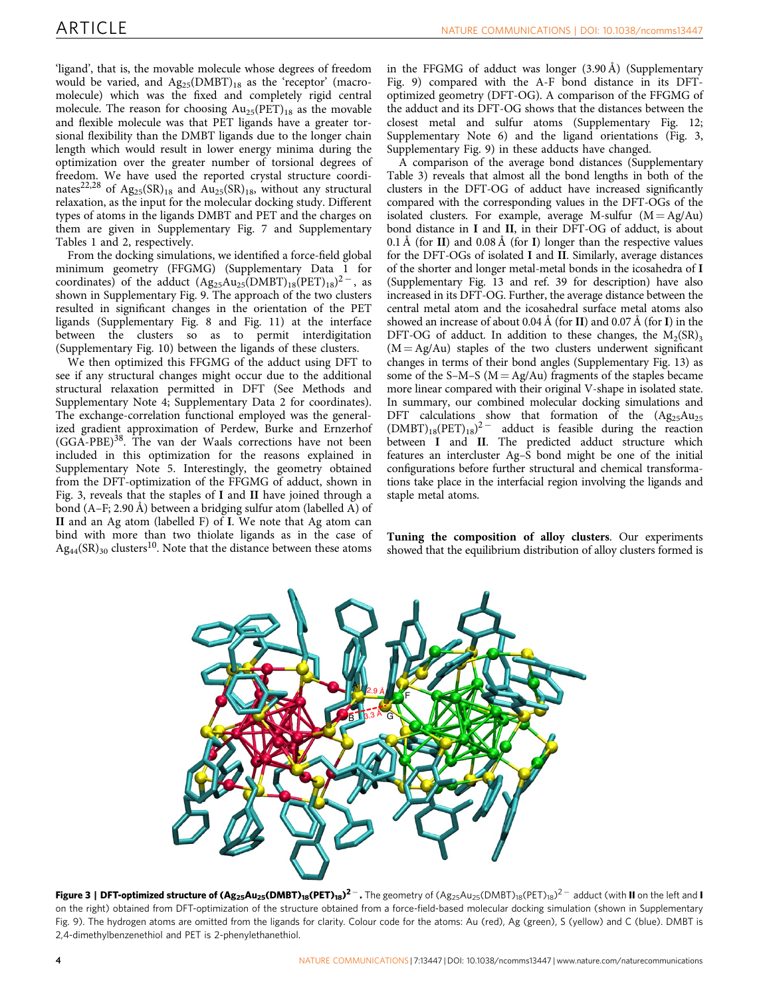'ligand', that is, the movable molecule whose degrees of freedom would be varied, and  $Ag_{25}(DMBT)_{18}$  as the 'receptor' (macromolecule) which was the fixed and completely rigid central molecule. The reason for choosing  $Au_{25}(PET)_{18}$  as the movable and flexible molecule was that PET ligands have a greater torsional flexibility than the DMBT ligands due to the longer chain length which would result in lower energy minima during the optimization over the greater number of torsional degrees of freedom. We have used the reported crystal structure coordinates<sup>22,28</sup> of Ag<sub>25</sub>(SR)<sub>18</sub> and Au<sub>25</sub>(SR)<sub>18</sub>, without any structural relaxation, as the input for the molecular docking study. Different types of atoms in the ligands DMBT and PET and the charges on them are given in Supplementary Fig. 7 and Supplementary Tables 1 and 2, respectively.

From the docking simulations, we identified a force-field global minimum geometry (FFGMG) (Supplementary Data 1 for coordinates) of the adduct  $(Ag_{25}Au_{25}(DMBT)_{18}(PET)_{18})^{2}$ , as shown in Supplementary Fig. 9. The approach of the two clusters resulted in significant changes in the orientation of the PET ligands (Supplementary Fig. 8 and Fig. 11) at the interface between the clusters so as to permit interdigitation (Supplementary Fig. 10) between the ligands of these clusters.

We then optimized this FFGMG of the adduct using DFT to see if any structural changes might occur due to the additional structural relaxation permitted in DFT (See Methods and Supplementary Note 4; Supplementary Data 2 for coordinates). The exchange-correlation functional employed was the generalized gradient approximation of Perdew, Burke and Ernzerhof  $(GGA-PBE)^{38}$ . The van der Waals corrections have not been included in this optimization for the reasons explained in Supplementary Note 5. Interestingly, the geometry obtained from the DFT-optimization of the FFGMG of adduct, shown in Fig. 3, reveals that the staples of I and II have joined through a bond (A–F; 2.90 Å) between a bridging sulfur atom (labelled A) of II and an Ag atom (labelled F) of I. We note that Ag atom can bind with more than two thiolate ligands as in the case of  $\text{Ag}_{44}(\text{SR})_{30}$  clusters<sup>10</sup>. Note that the distance between these atoms

in the FFGMG of adduct was longer (3.90 Å) (Supplementary Fig. 9) compared with the A-F bond distance in its DFToptimized geometry (DFT-OG). A comparison of the FFGMG of the adduct and its DFT-OG shows that the distances between the closest metal and sulfur atoms (Supplementary Fig. 12; Supplementary Note 6) and the ligand orientations (Fig. 3, Supplementary Fig. 9) in these adducts have changed.

A comparison of the average bond distances (Supplementary Table 3) reveals that almost all the bond lengths in both of the clusters in the DFT-OG of adduct have increased significantly compared with the corresponding values in the DFT-OGs of the isolated clusters. For example, average M-sulfur  $(M = Ag/Au)$ bond distance in I and II, in their DFT-OG of adduct, is about 0.1 Å (for II) and 0.08 Å (for I) longer than the respective values for the DFT-OGs of isolated I and II. Similarly, average distances of the shorter and longer metal-metal bonds in the icosahedra of I (Supplementary Fig. 13 and ref. 39 for description) have also increased in its DFT-OG. Further, the average distance between the central metal atom and the icosahedral surface metal atoms also showed an increase of about  $0.04 \text{ Å}$  (for II) and  $0.07 \text{ Å}$  (for I) in the DFT-OG of adduct. In addition to these changes, the  $M_2(SR)_3$  $(M = Ag/Au)$  staples of the two clusters underwent significant changes in terms of their bond angles (Supplementary Fig. 13) as some of the S–M–S ( $M = Ag/Au$ ) fragments of the staples became more linear compared with their original V-shape in isolated state. In summary, our combined molecular docking simulations and DFT calculations show that formation of the  $(Ag_{25}Au_{25})$  $(DMBT)_{18}(PET)_{18})^2$  adduct is feasible during the reaction between I and II. The predicted adduct structure which features an intercluster Ag–S bond might be one of the initial configurations before further structural and chemical transformations take place in the interfacial region involving the ligands and staple metal atoms.

Tuning the composition of alloy clusters. Our experiments showed that the equilibrium distribution of alloy clusters formed is



Figure 3 | DFT-optimized structure of (Ag<sub>25</sub>Au<sub>25</sub>(DMBT)<sub>18</sub>(PET)<sub>18</sub>)<sup>2 –</sup> . The geometry of (Ag<sub>25</sub>Au<sub>25</sub>(DMBT)<sub>18</sub>(PET)<sub>18</sub>)<sup>2 –</sup> adduct (with II on the left and I on the right) obtained from DFT-optimization of the structure obtained from a force-field-based molecular docking simulation (shown in Supplementary Fig. 9). The hydrogen atoms are omitted from the ligands for clarity. Colour code for the atoms: Au (red), Ag (green), S (yellow) and C (blue). DMBT is 2,4-dimethylbenzenethiol and PET is 2-phenylethanethiol.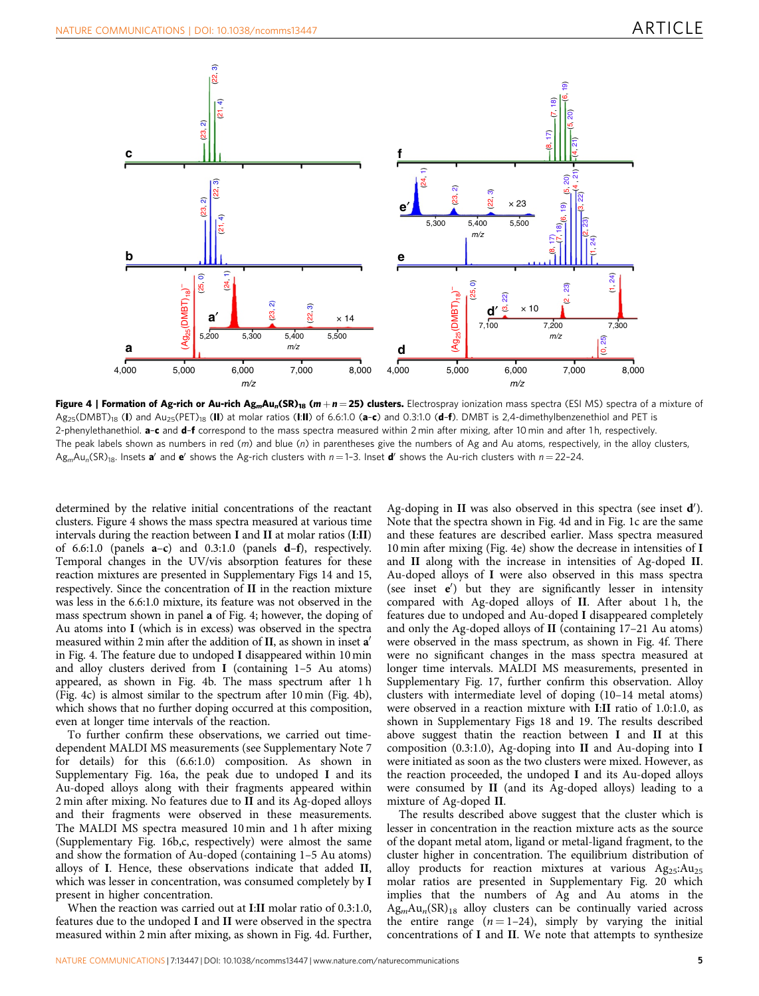

Figure 4 | Formation of Ag-rich or Au-rich Ag<sub>m</sub>Au<sub>n</sub>(SR)<sub>18</sub> (m + n = 25) clusters. Electrospray ionization mass spectra (ESI MS) spectra of a mixture of  $Ag_{25}(DMBT)_{18}$  (I) and  $Au_{25}(PET)_{18}$  (II) at molar ratios (I:II) of 6.6:1.0 (a-c) and 0.3:1.0 (d-f). DMBT is 2,4-dimethylbenzenethiol and PET is 2-phenylethanethiol. a-c and d-f correspond to the mass spectra measured within 2 min after mixing, after 10 min and after 1h, respectively. The peak labels shown as numbers in red  $(m)$  and blue  $(n)$  in parentheses give the numbers of Ag and Au atoms, respectively, in the alloy clusters,  $Ag_mAu_n(SR)_{18}$ . Insets a' and e' shows the Ag-rich clusters with  $n = 1-3$ . Inset d' shows the Au-rich clusters with  $n = 22-24$ .

determined by the relative initial concentrations of the reactant clusters. Figure 4 shows the mass spectra measured at various time intervals during the reaction between I and II at molar ratios (I:II) of 6.6:1.0 (panels a–c) and 0.3:1.0 (panels d–f), respectively. Temporal changes in the UV/vis absorption features for these reaction mixtures are presented in Supplementary Figs 14 and 15, respectively. Since the concentration of II in the reaction mixture was less in the 6.6:1.0 mixture, its feature was not observed in the mass spectrum shown in panel a of Fig. 4; however, the doping of Au atoms into I (which is in excess) was observed in the spectra measured within 2 min after the addition of II, as shown in inset  $a'$ in Fig. 4. The feature due to undoped I disappeared within 10 min and alloy clusters derived from I (containing 1–5 Au atoms) appeared, as shown in Fig. 4b. The mass spectrum after 1 h (Fig. 4c) is almost similar to the spectrum after 10 min (Fig. 4b), which shows that no further doping occurred at this composition, even at longer time intervals of the reaction.

To further confirm these observations, we carried out timedependent MALDI MS measurements (see Supplementary Note 7 for details) for this (6.6:1.0) composition. As shown in Supplementary Fig. 16a, the peak due to undoped I and its Au-doped alloys along with their fragments appeared within 2 min after mixing. No features due to II and its Ag-doped alloys and their fragments were observed in these measurements. The MALDI MS spectra measured 10 min and 1 h after mixing (Supplementary Fig. 16b,c, respectively) were almost the same and show the formation of Au-doped (containing 1–5 Au atoms) alloys of I. Hence, these observations indicate that added II, which was lesser in concentration, was consumed completely by I present in higher concentration.

When the reaction was carried out at I:II molar ratio of 0.3:1.0, features due to the undoped I and II were observed in the spectra measured within 2 min after mixing, as shown in Fig. 4d. Further,

Ag-doping in II was also observed in this spectra (see inset  $\mathbf{d}'$ ). Note that the spectra shown in Fig. 4d and in Fig. 1c are the same and these features are described earlier. Mass spectra measured 10 min after mixing (Fig. 4e) show the decrease in intensities of I and II along with the increase in intensities of Ag-doped II. Au-doped alloys of I were also observed in this mass spectra (see inset  $e'$ ) but they are significantly lesser in intensity compared with Ag-doped alloys of II. After about 1 h, the features due to undoped and Au-doped I disappeared completely and only the Ag-doped alloys of II (containing 17–21 Au atoms) were observed in the mass spectrum, as shown in Fig. 4f. There were no significant changes in the mass spectra measured at longer time intervals. MALDI MS measurements, presented in Supplementary Fig. 17, further confirm this observation. Alloy clusters with intermediate level of doping (10–14 metal atoms) were observed in a reaction mixture with I:II ratio of 1.0:1.0, as shown in Supplementary Figs 18 and 19. The results described above suggest thatin the reaction between I and II at this composition (0.3:1.0), Ag-doping into II and Au-doping into I were initiated as soon as the two clusters were mixed. However, as the reaction proceeded, the undoped I and its Au-doped alloys were consumed by II (and its Ag-doped alloys) leading to a mixture of Ag-doped II.

The results described above suggest that the cluster which is lesser in concentration in the reaction mixture acts as the source of the dopant metal atom, ligand or metal-ligand fragment, to the cluster higher in concentration. The equilibrium distribution of alloy products for reaction mixtures at various  $Ag_{25}:Au_{25}$ molar ratios are presented in Supplementary Fig. 20 which implies that the numbers of Ag and Au atoms in the  $Ag<sub>m</sub>Au<sub>n</sub>(SR)<sub>18</sub>$  alloy clusters can be continually varied across the entire range  $(n = 1-24)$ , simply by varying the initial concentrations of I and II. We note that attempts to synthesize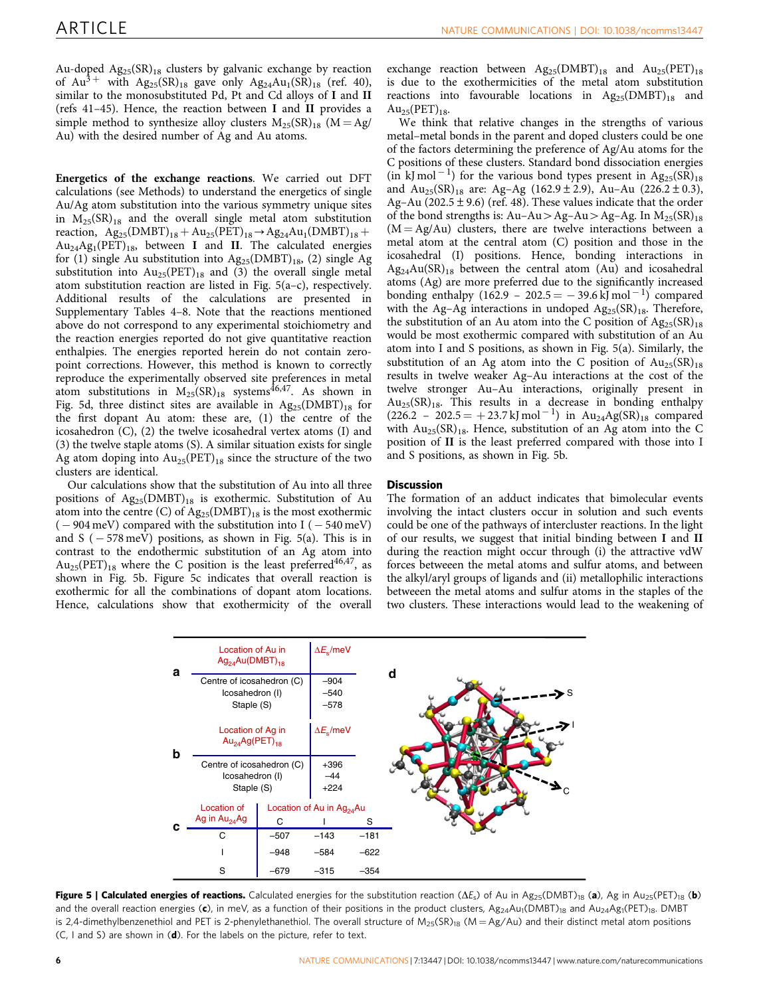Au-doped  $Ag_{25}(SR)_{18}$  clusters by galvanic exchange by reaction of  $Au^{3+}$  with  $Ag_{25}(SR)_{18}$  gave only  $Ag_{24}Au_{1}(SR)_{18}$  (ref. 40), similar to the monosubstituted Pd, Pt and Cd alloys of I and II (refs 41–45). Hence, the reaction between I and II provides a simple method to synthesize alloy clusters  $M_{25}(SR)_{18}$  ( $M = Ag/$ Au) with the desired number of Ag and Au atoms.

Energetics of the exchange reactions. We carried out DFT calculations (see Methods) to understand the energetics of single Au/Ag atom substitution into the various symmetry unique sites in  $M_{25}(SR)_{18}$  and the overall single metal atom substitution reaction,  $Ag_{25}(DMBT)_{18} + Au_{25}(PET)_{18} \rightarrow Ag_{24}Au_1(DMBT)_{18} +$  $Au_{24}Ag_{1}(PET)_{18}$ , between I and II. The calculated energies for (1) single Au substitution into  $Ag_{25}(DMBT)_{18}$ , (2) single Ag substitution into  $Au_{25}(PET)_{18}$  and (3) the overall single metal atom substitution reaction are listed in Fig. 5(a–c), respectively. Additional results of the calculations are presented in Supplementary Tables 4–8. Note that the reactions mentioned above do not correspond to any experimental stoichiometry and the reaction energies reported do not give quantitative reaction enthalpies. The energies reported herein do not contain zeropoint corrections. However, this method is known to correctly reproduce the experimentally observed site preferences in metal atom substitutions in  $M_{25}(SR)_{18}$  systems<sup>46,47</sup>. As shown in Fig. 5d, three distinct sites are available in  $Ag_{25}(DMBT)_{18}$  for the first dopant Au atom: these are, (1) the centre of the icosahedron (C), (2) the twelve icosahedral vertex atoms (I) and (3) the twelve staple atoms (S). A similar situation exists for single Ag atom doping into  $Au_{25}(PET)_{18}$  since the structure of the two clusters are identical.

Our calculations show that the substitution of Au into all three positions of  $Ag_{25}(DMBT)_{18}$  is exothermic. Substitution of Au atom into the centre (C) of  $Ag_{25}(DMBT)_{18}$  is the most exothermic  $(-904 \,\mathrm{meV})$  compared with the substitution into I  $(-540 \,\mathrm{meV})$ and S  $(-578 \,\mathrm{meV})$  positions, as shown in Fig. 5(a). This is in contrast to the endothermic substitution of an Ag atom into  $Au_{25}(PET)_{18}$  where the C position is the least preferred<sup>46,47</sup>, as shown in Fig. 5b. Figure 5c indicates that overall reaction is exothermic for all the combinations of dopant atom locations. Hence, calculations show that exothermicity of the overall exchange reaction between  $\text{Ag}_{25}(\text{DMBT})_{18}$  and  $\text{Au}_{25}(\text{PET})_{18}$ is due to the exothermicities of the metal atom substitution reactions into favourable locations in  $Ag_{25}(DMBT)_{18}$  and  $Au_{25}(PET)_{18}$ .

We think that relative changes in the strengths of various metal–metal bonds in the parent and doped clusters could be one of the factors determining the preference of Ag/Au atoms for the C positions of these clusters. Standard bond dissociation energies  $(in$  kJ mol<sup>-1</sup>) for the various bond types present in Ag<sub>25</sub>(SR)<sub>18</sub> and  $Au_{25}(SR)_{18}$  are: Ag-Ag (162.9 ± 2.9), Au-Au (226.2 ± 0.3), Ag–Au (202.5  $\pm$  9.6) (ref. 48). These values indicate that the order of the bond strengths is:  $Au-Au>Ag-Au>Ag-Ag$ . In  $M_{25}(SR)_{18}$  $(M = Ag/Au)$  clusters, there are twelve interactions between a metal atom at the central atom (C) position and those in the icosahedral (I) positions. Hence, bonding interactions in  $Ag_{24}Au(SR)_{18}$  between the central atom (Au) and icosahedral atoms (Ag) are more preferred due to the significantly increased bonding enthalpy (162.9 - 202.5 =  $-39.6$  kJ mol<sup>-1</sup>) compared with the Ag–Ag interactions in undoped  $Ag_{25}(SR)_{18}$ . Therefore, the substitution of an Au atom into the C position of  $Ag_{25}(SR)_{18}$ would be most exothermic compared with substitution of an Au atom into I and S positions, as shown in Fig. 5(a). Similarly, the substitution of an Ag atom into the C position of  $Au_{25}(SR)_{18}$ results in twelve weaker Ag–Au interactions at the cost of the twelve stronger Au–Au interactions, originally present in  $Au_{25}(SR)_{18}$ . This results in a decrease in bonding enthalpy  $(226.2 - 202.5 = +23.7 \text{ kJ mol}^{-1})$  in  $\text{Au}_{24}\text{Ag(SR)}_{18}$  compared with  $Au_{25}(SR)_{18}$ . Hence, substitution of an Ag atom into the C position of II is the least preferred compared with those into I and S positions, as shown in Fig. 5b.

## **Discussion**

The formation of an adduct indicates that bimolecular events involving the intact clusters occur in solution and such events could be one of the pathways of intercluster reactions. In the light of our results, we suggest that initial binding between I and II during the reaction might occur through (i) the attractive vdW forces betweeen the metal atoms and sulfur atoms, and between the alkyl/aryl groups of ligands and (ii) metallophilic interactions betweeen the metal atoms and sulfur atoms in the staples of the two clusters. These interactions would lead to the weakening of



Figure 5 | Calculated energies of reactions. Calculated energies for the substitution reaction ( $\Delta E_{s}$ ) of Au in Ag<sub>25</sub>(DMBT)<sub>18</sub> (a), Ag in Au<sub>25</sub>(PET)<sub>18</sub> (b) and the overall reaction energies (c), in meV, as a function of their positions in the product clusters,  $Ag_{24}Au_{1}(DMBT)_{18}$  and  $Au_{24}Ag_{1}(PET)_{18}$ . DMBT is 2,4-dimethylbenzenethiol and PET is 2-phenylethanethiol. The overall structure of  $M_{25}(SR)_{18}$  (M = Ag/Au) and their distinct metal atom positions  $(C, I$  and S) are shown in  $(d)$ . For the labels on the picture, refer to text.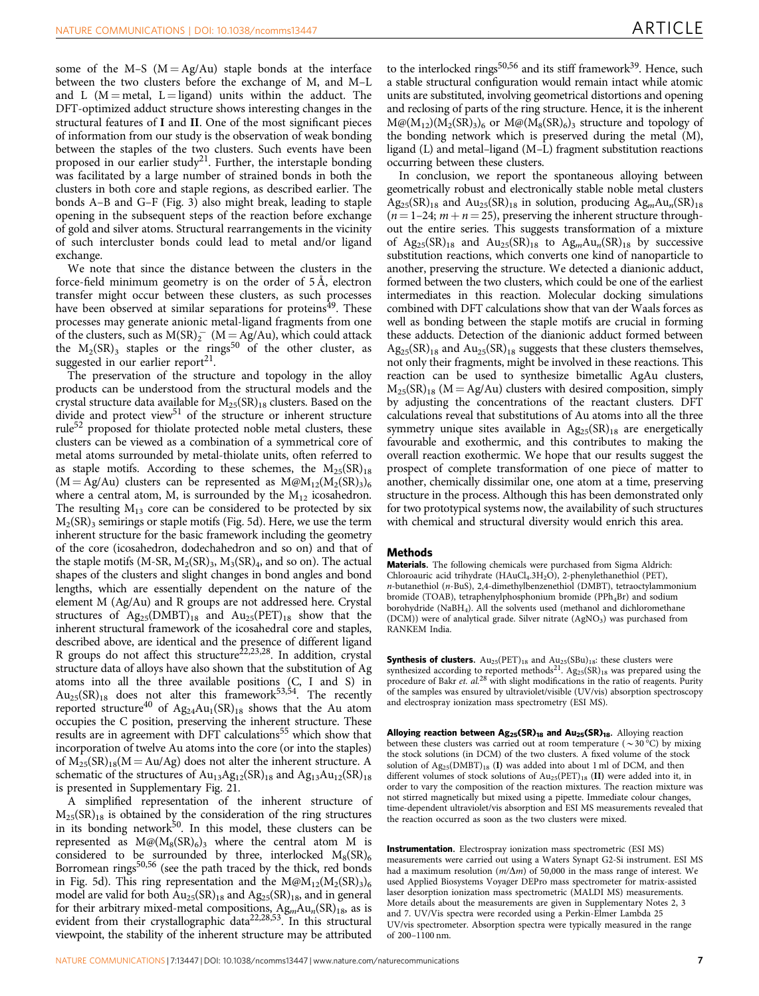some of the M–S  $(M = Ag/Au)$  staple bonds at the interface between the two clusters before the exchange of M, and M–L and L ( $M =$ metal, L  $=$  ligand) units within the adduct. The DFT-optimized adduct structure shows interesting changes in the structural features of I and II. One of the most significant pieces of information from our study is the observation of weak bonding between the staples of the two clusters. Such events have been proposed in our earlier study<sup>21</sup>. Further, the interstaple bonding was facilitated by a large number of strained bonds in both the clusters in both core and staple regions, as described earlier. The bonds A–B and G–F (Fig. 3) also might break, leading to staple opening in the subsequent steps of the reaction before exchange of gold and silver atoms. Structural rearrangements in the vicinity of such intercluster bonds could lead to metal and/or ligand exchange.

We note that since the distance between the clusters in the force-field minimum geometry is on the order of 5 Å, electron transfer might occur between these clusters, as such processes have been observed at similar separations for proteins<sup>49</sup>. These processes may generate anionic metal-ligand fragments from one of the clusters, such as  $M(SR)_2^-$  ( $M = Ag/Au$ ), which could attack the  $M_2(SR)$ <sub>3</sub> staples or the rings<sup>50</sup> of the other cluster, as suggested in our earlier report<sup>21</sup>.

The preservation of the structure and topology in the alloy products can be understood from the structural models and the crystal structure data available for  $M_{25}(SR)_{18}$  clusters. Based on the divide and protect view<sup>51</sup> of the structure or inherent structure rule<sup>52</sup> proposed for thiolate protected noble metal clusters, these clusters can be viewed as a combination of a symmetrical core of metal atoms surrounded by metal-thiolate units, often referred to as staple motifs. According to these schemes, the  $M_{25}(SR)_{18}$  $(M = Ag/Au)$  clusters can be represented as  $M@M_{12}(M_2(SR)_3)_{6}$ where a central atom, M, is surrounded by the  $M_{12}$  icosahedron. The resulting  $M_{13}$  core can be considered to be protected by six  $M_2(SR)$ <sub>3</sub> semirings or staple motifs (Fig. 5d). Here, we use the term inherent structure for the basic framework including the geometry of the core (icosahedron, dodechahedron and so on) and that of the staple motifs (M-SR,  $M_2(SR)_3$ ,  $M_3(SR)_4$ , and so on). The actual shapes of the clusters and slight changes in bond angles and bond lengths, which are essentially dependent on the nature of the element M (Ag/Au) and R groups are not addressed here. Crystal structures of  $Ag_{25}(DMBT)_{18}$  and  $Au_{25}(PET)_{18}$  show that the inherent structural framework of the icosahedral core and staples, described above, are identical and the presence of different ligand R groups do not affect this structure<sup>22,23,28</sup>. In addition, crystal structure data of alloys have also shown that the substitution of Ag atoms into all the three available positions (C, I and S) in  $Au_{25}(SR)_{18}$  does not alter this framework<sup>53,54</sup>. The recently reported structure<sup>40</sup> of Ag<sub>24</sub>Au<sub>1</sub>(SR)<sub>18</sub> shows that the Au atom occupies the C position, preserving the inherent structure. These results are in agreement with DFT calculations<sup>55</sup> which show that incorporation of twelve Au atoms into the core (or into the staples) of  $M_{25}(SR)_{18}(M = Au/Ag)$  does not alter the inherent structure. A schematic of the structures of  $Au_{13}Ag_{12}(SR)_{18}$  and  $Ag_{13}Au_{12}(SR)_{18}$ is presented in Supplementary Fig. 21.

A simplified representation of the inherent structure of  $M_{25}(SR)_{18}$  is obtained by the consideration of the ring structures in its bonding network<sup>50</sup>. In this model, these clusters can be represented as  $M@(M_8(SR)_6)_3$  where the central atom M is considered to be surrounded by three, interlocked  $M_8(SR)_6$ Borromean rings<sup>50,56</sup> (see the path traced by the thick, red bonds in Fig. 5d). This ring representation and the  $M\omega M_{12}(M_2(SR)_3)_{6}$ model are valid for both  $Au_{25}(SR)_{18}$  and  $Ag_{25}(SR)_{18}$ , and in general for their arbitrary mixed-metal compositions,  $Ag<sub>m</sub>Au<sub>n</sub>(SR)<sub>18</sub>$ , as is evident from their crystallographic data<sup>22,28,53</sup>. In this structural viewpoint, the stability of the inherent structure may be attributed

to the interlocked rings<sup>50,56</sup> and its stiff framework<sup>39</sup>. Hence, such a stable structural configuration would remain intact while atomic units are substituted, involving geometrical distortions and opening and reclosing of parts of the ring structure. Hence, it is the inherent  $M@(M_{12})(M_{2}(SR)_{3})_{6}$  or  $M@(M_{8}(SR)_{6})_{3}$  structure and topology of the bonding network which is preserved during the metal (M), ligand (L) and metal–ligand (M–L) fragment substitution reactions occurring between these clusters.

In conclusion, we report the spontaneous alloying between geometrically robust and electronically stable noble metal clusters  $Ag_{25}(SR)_{18}$  and  $Au_{25}(SR)_{18}$  in solution, producing  $Ag_mAu_n(SR)_{18}$  $(n = 1-24; m + n = 25)$ , preserving the inherent structure throughout the entire series. This suggests transformation of a mixture of  $Ag_{25}(SR)_{18}$  and  $Au_{25}(SR)_{18}$  to  $Ag_mAu_n(SR)_{18}$  by successive substitution reactions, which converts one kind of nanoparticle to another, preserving the structure. We detected a dianionic adduct, formed between the two clusters, which could be one of the earliest intermediates in this reaction. Molecular docking simulations combined with DFT calculations show that van der Waals forces as well as bonding between the staple motifs are crucial in forming these adducts. Detection of the dianionic adduct formed between  $\text{Ag}_{25}(\text{SR})_{18}$  and  $\text{Au}_{25}(\text{SR})_{18}$  suggests that these clusters themselves, not only their fragments, might be involved in these reactions. This reaction can be used to synthesize bimetallic AgAu clusters,  $M_{25}(SR)_{18}$  (M = Ag/Au) clusters with desired composition, simply by adjusting the concentrations of the reactant clusters. DFT calculations reveal that substitutions of Au atoms into all the three symmetry unique sites available in  $Ag_{25}(SR)_{18}$  are energetically favourable and exothermic, and this contributes to making the overall reaction exothermic. We hope that our results suggest the prospect of complete transformation of one piece of matter to another, chemically dissimilar one, one atom at a time, preserving structure in the process. Although this has been demonstrated only for two prototypical systems now, the availability of such structures with chemical and structural diversity would enrich this area.

#### Methods

Materials. The following chemicals were purchased from Sigma Aldrich: Chloroauric acid trihydrate (HAuCl<sub>4</sub>.3H<sub>2</sub>O), 2-phenylethanethiol (PET), n-butanethiol (n-BuS), 2,4-dimethylbenzenethiol (DMBT), tetraoctylammonium bromide (TOAB), tetraphenylphosphonium bromide (PPh<sub>4</sub>Br) and sodium borohydride (NaBH<sub>4</sub>). All the solvents used (methanol and dichloromethane (DCM)) were of analytical grade. Silver nitrate (AgNO<sub>3</sub>) was purchased from RANKEM India.

**Synthesis of clusters.**  $\text{Au}_{25}(\text{PET})_{18}$  and  $\text{Au}_{25}(\text{SBu})_{18}$ : these clusters were synthesized according to reported methods<sup>21</sup>. Ag<sub>25</sub>(SR)<sub>18</sub> was prepared using the procedure of Bakr et. al.<sup>28</sup> with slight modifications in the ratio of reagents. Purity of the samples was ensured by ultraviolet/visible (UV/vis) absorption spectroscopy and electrospray ionization mass spectrometry (ESI MS).

Alloying reaction between  $Ag_{25}(SR)_{18}$  and  $Au_{25}(SR)_{18}$ . Alloying reaction between these clusters was carried out at room temperature ( $\sim$ 30 °C) by mixing the stock solutions (in DCM) of the two clusters. A fixed volume of the stock solution of  $Ag_{25}(DMBT)_{18}$  (I) was added into about 1 ml of DCM, and then different volumes of stock solutions of  $Au_{25}(PET)_{18}$  (II) were added into it, in order to vary the composition of the reaction mixtures. The reaction mixture was not stirred magnetically but mixed using a pipette. Immediate colour changes, time-dependent ultraviolet/vis absorption and ESI MS measurements revealed that the reaction occurred as soon as the two clusters were mixed.

Instrumentation. Electrospray ionization mass spectrometric (ESI MS) measurements were carried out using a Waters Synapt G2-Si instrument. ESI MS had a maximum resolution  $(m/\Delta m)$  of 50,000 in the mass range of interest. We used Applied Biosystems Voyager DEPro mass spectrometer for matrix-assisted laser desorption ionization mass spectrometric (MALDI MS) measurements. More details about the measurements are given in Supplementary Notes 2, 3 and 7. UV/Vis spectra were recorded using a Perkin-Elmer Lambda 25 UV/vis spectrometer. Absorption spectra were typically measured in the range of 200–1100 nm.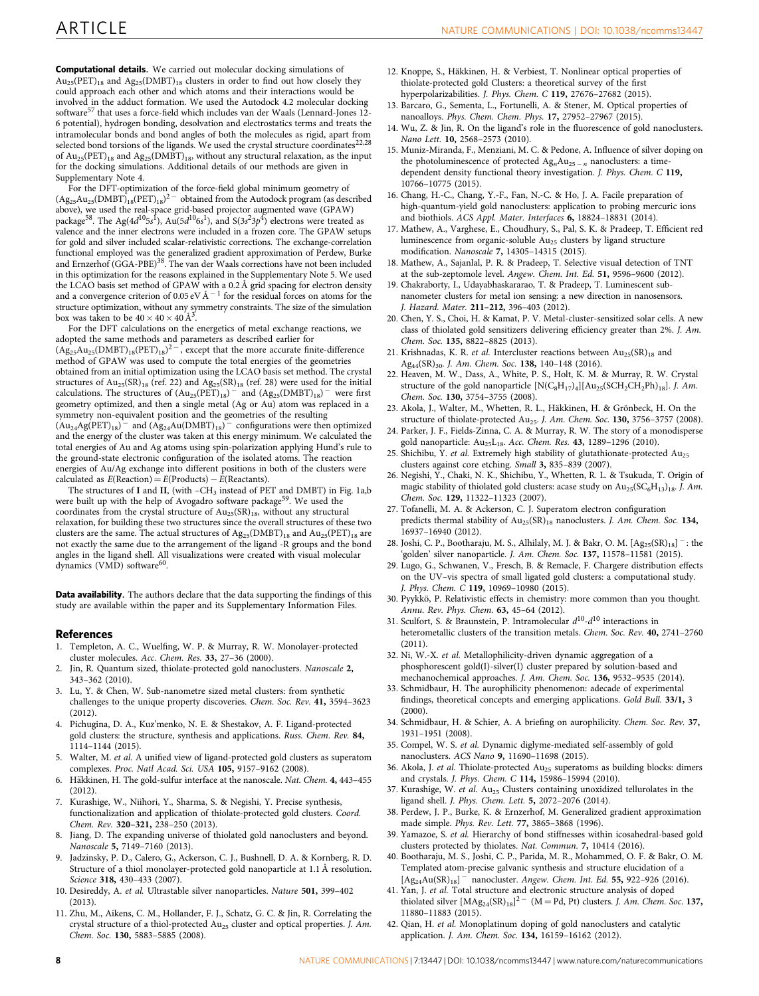Computational details. We carried out molecular docking simulations of  $Au_{25}(PET)_{18}$  and  $Ag_{25}(DMBT)_{18}$  clusters in order to find out how closely they could approach each other and which atoms and their interactions would be involved in the adduct formation. We used the Autodock 4.2 molecular docking software<sup>57</sup> that uses a force-field which includes van der Waals (Lennard-Jones 12-6 potential), hydrogen bonding, desolvation and electrostatics terms and treats the intramolecular bonds and bond angles of both the molecules as rigid, apart from selected bond torsions of the ligands. We used the crystal structure coordinates22,28 of  $Au_{25}(PET)_{18}$  and  $Ag_{25}(DMBT)_{18}$ , without any structural relaxation, as the input for the docking simulations. Additional details of our methods are given in Supplementary Note 4.

For the DFT-optimization of the force-field global minimum geometry of  $(Ag_{25}Au_{25}(DMBT)_{18}(PET)_{18})^{2}$  obtained from the Autodock program (as described above), we used the real-space grid-based projector augmented wave (GPAW) package<sup>58</sup>. The Ag(4 $d^{10}$ 5s<sup>1</sup>), Au(5 $d^{10}$ 6s<sup>1</sup>), and S(3s<sup>2</sup>3p<sup>4</sup>) electrons were treated as valence and the inner electrons were included in a frozen core. The GPAW setups for gold and silver included scalar-relativistic corrections. The exchange-correlation functional employed was the generalized gradient approximation of Perdew, Burke<br>and Ernzerhof (GGA-PBE)<sup>38</sup>. The van der Waals corrections have not been included in this optimization for the reasons explained in the Supplementary Note 5. We used the LCAO basis set method of GPAW with a 0.2 Å grid spacing for electron density and a convergence criterion of 0.05 eV Å  $^{-1}$  for the residual forces on atoms for the structure optimization, without any symmetry constraints. The size of the simulation box was taken to be  $40 \times 40 \times 40 \text{ Å}^3$ .

For the DFT calculations on the energetics of metal exchange reactions, we adopted the same methods and parameters as described earlier for  $(Ag_{25}Au_{25}(DMBT)_{18}(PET)_{18})^{2}$ , except that the more accurate finite-difference method of GPAW was used to compute the total energies of the geometries obtained from an initial optimization using the LCAO basis set method. The crystal structures of  $Au_{25}(SR)_{18}$  (ref. 22) and  $Ag_{25}(SR)_{18}$  (ref. 28) were used for the initial calculations. The structures of  $(Au_{25}(PET)_{18})$ <sup>-</sup> and  $(Ag_{25}(DMBT)_{18})$ <sup>-</sup> were first geometry optimized, and then a single metal (Ag or Au) atom was replaced in a symmetry non-equivalent position and the geometries of the resulting  $(Au_{24}Ag(PET)_{18})$ <sup>-</sup> and  $(Ag_{24}Au(DMBT)_{18})$ <sup>-</sup> configurations were then optimized and the energy of the cluster was taken at this energy minimum. We calculated the total energies of Au and Ag atoms using spin-polarization applying Hund's rule to the ground-state electronic configuration of the isolated atoms. The reaction energies of Au/Ag exchange into different positions in both of the clusters were calculated as  $E(\text{Reaction}) = E(\text{Products}) - E(\text{Reactions}).$ 

The structures of I and II, (with -CH<sub>3</sub> instead of PET and DMBT) in Fig. 1a,b were built up with the help of Avogadro software package<sup>59</sup>. We used the coordinates from the crystal structure of  $Au_{25}(SR)_{18}$ , without any structural relaxation, for building these two structures since the overall structures of these two clusters are the same. The actual structures of  $Ag_{25}(DMBT)_{18}$  and  $Au_{25}(PET)_{18}$  are not exactly the same due to the arrangement of the ligand -R groups and the bond angles in the ligand shell. All visualizations were created with visual molecular dynamics (VMD) software<sup>60</sup>.

Data availability. The authors declare that the data supporting the findings of this study are available within the paper and its Supplementary Information Files.

#### References

- 1. Templeton, A. C., Wuelfing, W. P. & Murray, R. W. Monolayer-protected cluster molecules. Acc. Chem. Res. 33, 27–36 (2000).
- 2. Jin, R. Quantum sized, thiolate-protected gold nanoclusters. Nanoscale 2, 343–362 (2010).
- 3. Lu, Y. & Chen, W. Sub-nanometre sized metal clusters: from synthetic challenges to the unique property discoveries. Chem. Soc. Rev. 41, 3594–3623 (2012).
- 4. Pichugina, D. A., Kuz'menko, N. E. & Shestakov, A. F. Ligand-protected gold clusters: the structure, synthesis and applications. Russ. Chem. Rev. 84, 1114–1144 (2015).
- 5. Walter, M. et al. A unified view of ligand-protected gold clusters as superatom complexes. Proc. Natl Acad. Sci. USA 105, 9157–9162 (2008).
- 6. Häkkinen, H. The gold-sulfur interface at the nanoscale. Nat. Chem. 4, 443-455 (2012).
- 7. Kurashige, W., Niihori, Y., Sharma, S. & Negishi, Y. Precise synthesis, functionalization and application of thiolate-protected gold clusters. Coord. Chem. Rev. 320–321, 238–250 (2013).
- 8. Jiang, D. The expanding universe of thiolated gold nanoclusters and beyond. Nanoscale 5, 7149–7160 (2013).
- 9. Jadzinsky, P. D., Calero, G., Ackerson, C. J., Bushnell, D. A. & Kornberg, R. D. Structure of a thiol monolayer-protected gold nanoparticle at 1.1 Å resolution. Science 318, 430–433 (2007).
- 10. Desireddy, A. et al. Ultrastable silver nanoparticles. Nature 501, 399–402 (2013).
- 11. Zhu, M., Aikens, C. M., Hollander, F. J., Schatz, G. C. & Jin, R. Correlating the crystal structure of a thiol-protected Au<sub>25</sub> cluster and optical properties. J. Am. Chem. Soc. 130, 5883–5885 (2008).
- 12. Knoppe, S., Häkkinen, H. & Verbiest, T. Nonlinear optical properties of thiolate-protected gold Clusters: a theoretical survey of the first hyperpolarizabilities. J. Phys. Chem. C 119, 27676–27682 (2015).
- 13. Barcaro, G., Sementa, L., Fortunelli, A. & Stener, M. Optical properties of nanoalloys. Phys. Chem. Chem. Phys. 17, 27952–27967 (2015).
- 14. Wu, Z. & Jin, R. On the ligand's role in the fluorescence of gold nanoclusters. Nano Lett. 10, 2568–2573 (2010).
- 15. Muniz-Miranda, F., Menziani, M. C. & Pedone, A. Influence of silver doping on the photoluminescence of protected  $Ag_nAu_{25-n}$  nanoclusters: a timedependent density functional theory investigation. J. Phys. Chem. C 119, 10766–10775 (2015).
- 16. Chang, H.-C., Chang, Y.-F., Fan, N.-C. & Ho, J. A. Facile preparation of high-quantum-yield gold nanoclusters: application to probing mercuric ions and biothiols. ACS Appl. Mater. Interfaces 6, 18824–18831 (2014).
- 17. Mathew, A., Varghese, E., Choudhury, S., Pal, S. K. & Pradeep, T. Efficient red luminescence from organic-soluble Au25 clusters by ligand structure modification. Nanoscale 7, 14305–14315 (2015).
- 18. Mathew, A., Sajanlal, P. R. & Pradeep, T. Selective visual detection of TNT at the sub-zeptomole level. Angew. Chem. Int. Ed. 51, 9596–9600 (2012).
- 19. Chakraborty, I., Udayabhaskararao, T. & Pradeep, T. Luminescent subnanometer clusters for metal ion sensing: a new direction in nanosensors. J. Hazard. Mater. 211–212, 396–403 (2012).
- 20. Chen, Y. S., Choi, H. & Kamat, P. V. Metal-cluster-sensitized solar cells. A new class of thiolated gold sensitizers delivering efficiency greater than 2%. J. Am. Chem. Soc. 135, 8822–8825 (2013).
- 21. Krishnadas, K. R. et al. Intercluster reactions between  $Au_{25}(SR)_{18}$  and Ag<sub>44</sub>(SR)<sub>30</sub>. J. Am. Chem. Soc. 138, 140-148 (2016).
- 22. Heaven, M. W., Dass, A., White, P. S., Holt, K. M. & Murray, R. W. Crystal structure of the gold nanoparticle  $[N(C_8H_{17})_4][Au_{25}(SCH_2CH_2Ph)_{18}]$ . J. Am. Chem. Soc. 130, 3754–3755 (2008).
- 23. Akola, J., Walter, M., Whetten, R. L., Häkkinen, H. & Grönbeck, H. On the structure of thiolate-protected Au<sub>25</sub>. J. Am. Chem. Soc. 130, 3756-3757 (2008).
- 24. Parker, J. F., Fields-Zinna, C. A. & Murray, R. W. The story of a monodisperse gold nanoparticle: Au<sub>25</sub>L<sub>18</sub>. Acc. Chem. Res. 43, 1289-1296 (2010).
- 25. Shichibu, Y. et al. Extremely high stability of glutathionate-protected Au<sub>25</sub> clusters against core etching. Small 3, 835–839 (2007).
- 26. Negishi, Y., Chaki, N. K., Shichibu, Y., Whetten, R. L. & Tsukuda, T. Origin of magic stability of thiolated gold clusters: acase study on  $Au_{25}(SC_6H_{13})_{18}$ . J. Am. Chem. Soc. 129, 11322–11323 (2007).
- 27. Tofanelli, M. A. & Ackerson, C. J. Superatom electron configuration predicts thermal stability of  $Au_{25}(SR)_{18}$  nanoclusters. J. Am. Chem. Soc. 134, 16937–16940 (2012).
- 28. Joshi, C. P., Bootharaju, M. S., Alhilaly, M. J. & Bakr, O. M.  $[Ag_{25}(SR)_{18}]^-$ : the 'golden' silver nanoparticle. J. Am. Chem. Soc. 137, 11578–11581 (2015).
- 29. Lugo, G., Schwanen, V., Fresch, B. & Remacle, F. Chargere distribution effects on the UV–vis spectra of small ligated gold clusters: a computational study. J. Phys. Chem. C 119, 10969–10980 (2015).
- 30. Pyykkö, P. Relativistic effects in chemistry: more common than you thought. Annu. Rev. Phys. Chem. 63, 45–64 (2012).
- 31. Sculfort, S. & Braunstein, P. Intramolecular  $d^{10} d^{10}$  interactions in heterometallic clusters of the transition metals. Chem. Soc. Rev. 40, 2741–2760 (2011).
- 32. Ni, W.-X. et al. Metallophilicity-driven dynamic aggregation of a phosphorescent gold(I)-silver(I) cluster prepared by solution-based and mechanochemical approaches. J. Am. Chem. Soc. 136, 9532–9535 (2014).
- 33. Schmidbaur, H. The aurophilicity phenomenon: adecade of experimental findings, theoretical concepts and emerging applications. Gold Bull. 33/1, 3 (2000).
- 34. Schmidbaur, H. & Schier, A. A briefing on aurophilicity. Chem. Soc. Rev. 37, 1931–1951 (2008).
- 35. Compel, W. S. et al. Dynamic diglyme-mediated self-assembly of gold nanoclusters. ACS Nano 9, 11690–11698 (2015).
- 36. Akola, J. et al. Thiolate-protected  $Au_{25}$  superatoms as building blocks: dimers and crystals. J. Phys. Chem. C 114, 15986–15994 (2010).
- 37. Kurashige, W. et al. Au<sub>25</sub> Clusters containing unoxidized tellurolates in the ligand shell. J. Phys. Chem. Lett. 5, 2072–2076 (2014).
- 38. Perdew, J. P., Burke, K. & Ernzerhof, M. Generalized gradient approximation made simple. Phys. Rev. Lett. 77, 3865–3868 (1996).
- 39. Yamazoe, S. et al. Hierarchy of bond stiffnesses within icosahedral-based gold clusters protected by thiolates. Nat. Commun. 7, 10414 (2016).
- 40. Bootharaju, M. S., Joshi, C. P., Parida, M. R., Mohammed, O. F. & Bakr, O. M. Templated atom-precise galvanic synthesis and structure elucidation of a  $[Ag_{24}Au(SR)_{18}]$ <sup>-</sup> nanocluster. Angew. Chem. Int. Ed. 55, 922-926 (2016).
- 41. Yan, J. et al. Total structure and electronic structure analysis of doped thiolated silver  $[MAg_{24}(SR)_{18}]^2$ <sup>-</sup> (M = Pd, Pt) clusters. *J. Am. Chem. Soc.* 137, 11880–11883 (2015).
- 42. Qian, H. et al. Monoplatinum doping of gold nanoclusters and catalytic application. J. Am. Chem. Soc. 134, 16159–16162 (2012).